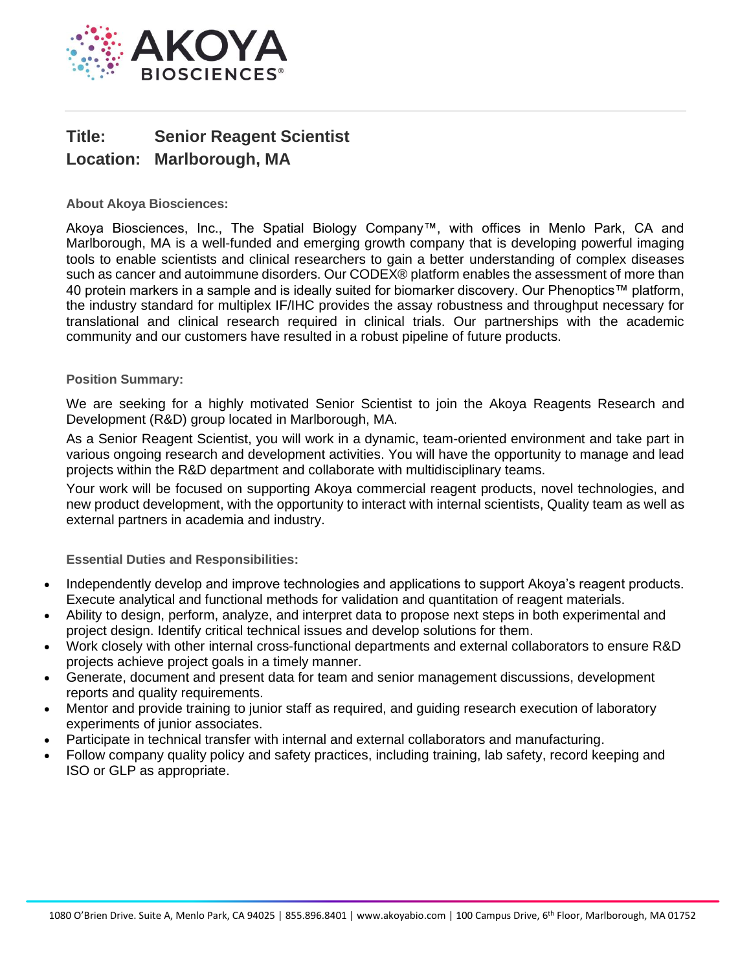

## **Title: Senior Reagent Scientist Location: Marlborough, MA**

**About Akoya Biosciences:**

Akoya Biosciences, Inc., The Spatial Biology Company™, with offices in Menlo Park, CA and Marlborough, MA is a well-funded and emerging growth company that is developing powerful imaging tools to enable scientists and clinical researchers to gain a better understanding of complex diseases such as cancer and autoimmune disorders. Our CODEX® platform enables the assessment of more than 40 protein markers in a sample and is ideally suited for biomarker discovery. Our Phenoptics™ platform, the industry standard for multiplex IF/IHC provides the assay robustness and throughput necessary for translational and clinical research required in clinical trials. Our partnerships with the academic community and our customers have resulted in a robust pipeline of future products.

## **Position Summary:**

We are seeking for a highly motivated Senior Scientist to join the Akoya Reagents Research and Development (R&D) group located in Marlborough, MA.

As a Senior Reagent Scientist, you will work in a dynamic, team-oriented environment and take part in various ongoing research and development activities. You will have the opportunity to manage and lead projects within the R&D department and collaborate with multidisciplinary teams.

Your work will be focused on supporting Akoya commercial reagent products, novel technologies, and new product development, with the opportunity to interact with internal scientists, Quality team as well as external partners in academia and industry.

**Essential Duties and Responsibilities:**

- Independently develop and improve technologies and applications to support Akoya's reagent products. Execute analytical and functional methods for validation and quantitation of reagent materials.
- Ability to design, perform, analyze, and interpret data to propose next steps in both experimental and project design. Identify critical technical issues and develop solutions for them.
- Work closely with other internal cross-functional departments and external collaborators to ensure R&D projects achieve project goals in a timely manner.
- Generate, document and present data for team and senior management discussions, development reports and quality requirements.
- Mentor and provide training to junior staff as required, and guiding research execution of laboratory experiments of junior associates.
- Participate in technical transfer with internal and external collaborators and manufacturing.
- Follow company quality policy and safety practices, including training, lab safety, record keeping and ISO or GLP as appropriate.